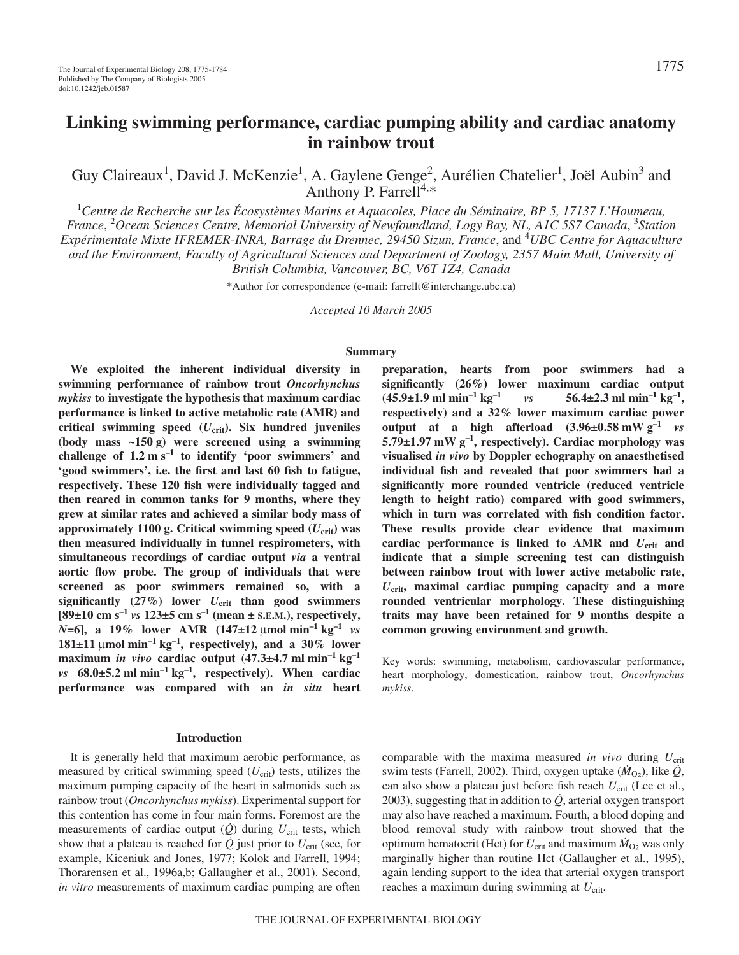# **Linking swimming performance, cardiac pumping ability and cardiac anatomy in rainbow trout**

Guy Claireaux<sup>1</sup>, David J. McKenzie<sup>1</sup>, A. Gaylene Genge<sup>2</sup>, Aurélien Chatelier<sup>1</sup>, Joël Aubin<sup>3</sup> and Anthony P. Farrell<sup>4,\*</sup>

1 *Centre de Recherche sur les Écosystèmes Marins et Aquacoles, Place du Séminaire, BP 5, 17137 L'Houmeau, France*, 2 *Ocean Sciences Centre, Memorial University of Newfoundland, Logy Bay, NL, A1C 5S7 Canada*, 3 *Station Expérimentale Mixte IFREMER-INRA, Barrage du Drennec, 29450 Sizun, France*, and 4 *UBC Centre for Aquaculture and the Environment, Faculty of Agricultural Sciences and Department of Zoology, 2357 Main Mall, University of British Columbia, Vancouver, BC, V6T 1Z4, Canada*

\*Author for correspondence (e-mail: farrellt@interchange.ubc.ca)

*Accepted 10 March 2005*

#### **Summary**

**We exploited the inherent individual diversity in swimming performance of rainbow trout** *Oncorhynchus mykiss* **to investigate the hypothesis that maximum cardiac performance is linked to active metabolic rate (AMR) and critical swimming speed (***U***crit). Six hundred juveniles** (body mass ~150 g) were screened using a swimming challenge of  $1.2 \text{ m s}^{-1}$  to identify 'poor swimmers' and **'good swimmers', i.e. the first and last 60 fish to fatigue, respectively. These 120 fish were individually tagged and then reared in common tanks for 9 months, where they grew at similar rates and achieved a similar body mass of** approximately 1100 g. Critical swimming speed  $(U_{\text{crit}})$  was **then measured individually in tunnel respirometers, with simultaneous recordings of cardiac output** *via* **a ventral aortic flow probe. The group of individuals that were screened as poor swimmers remained so, with a** significantly  $(27%)$  lower  $U_{\text{crit}}$  than good swimmers  $[89 \pm 10 \text{ cm s}^{-1} \text{ vs } 123 \pm 5 \text{ cm s}^{-1} \text{ (mean } \pm \text{ s.E.M.)}$ , respectively, *N*=6], a 19% lower AMR  $(147\pm12 \mu mol \text{ min}^{-1} \text{ kg}^{-1}$  *vs*  $181\pm11$  µmol min<sup>-1</sup> kg<sup>-1</sup>, respectively), and a 30% lower maximum *in vivo* cardiac output  $(47.3 \pm 4.7 \text{ ml min}^{-1} \text{ kg}^{-1})$ *vs*  $68.0\pm5.2$  ml min<sup>-1</sup> kg<sup>-1</sup>, respectively). When cardiac **performance was compared with an** *in situ* **heart**

## **preparation, hearts from poor swimmers had a significantly (26%) lower maximum cardiac output**  $(45.9 \pm 1.9 \text{ ml} \text{ min}^{-1} \text{ kg}^{-1}$  *vs*  $56.4 \pm 2.3 \text{ ml} \text{ min}^{-1} \text{ kg}^{-1}$ , **respectively) and a 32% lower maximum cardiac power output** at a high afterload  $(3.96\pm0.58 \text{ mW g}^{-1} \text{ vs }$  $5.79\pm1.97$  mW g<sup>-1</sup>, respectively). Cardiac morphology was **visualised** *in vivo* **by Doppler echography on anaesthetised individual fish and revealed that poor swimmers had a significantly more rounded ventricle (reduced ventricle length to height ratio) compared with good swimmers, which in turn was correlated with fish condition factor. These results provide clear evidence that maximum** cardiac performance is linked to AMR and  $U_{\text{crit}}$  and **indicate that a simple screening test can distinguish between rainbow trout with lower active metabolic rate,** *U***crit, maximal cardiac pumping capacity and a more rounded ventricular morphology. These distinguishing traits may have been retained for 9 months despite a common growing environment and growth.**

Key words: swimming, metabolism, cardiovascular performance, heart morphology, domestication, rainbow trout, *Oncorhynchus mykiss*.

#### **Introduction**

It is generally held that maximum aerobic performance, as measured by critical swimming speed  $(U_{\text{crit}})$  tests, utilizes the maximum pumping capacity of the heart in salmonids such as rainbow trout (*Oncorhynchus mykiss*). Experimental support for this contention has come in four main forms. Foremost are the measurements of cardiac output  $(\dot{Q})$  during  $U_{\text{crit}}$  tests, which show that a plateau is reached for  $\dot{Q}$  just prior to  $U_{\text{crit}}$  (see, for example, Kiceniuk and Jones, 1977; Kolok and Farrell, 1994; Thorarensen et al., 1996a,b; Gallaugher et al., 2001). Second, *in vitro* measurements of maximum cardiac pumping are often comparable with the maxima measured *in vivo* during  $U_{\text{crit}}$ swim tests (Farrell, 2002). Third, oxygen uptake  $(\dot{M}_{\Omega_2})$ , like  $\dot{Q}$ , can also show a plateau just before fish reach  $U_{\rm crit}$  (Lee et al., 2003), suggesting that in addition to *Q*, arterial oxygen transport may also have reached a maximum. Fourth, a blood doping and blood removal study with rainbow trout showed that the optimum hematocrit (Hct) for  $U_{\text{crit}}$  and maximum  $\dot{M}_{\text{O}}$  was only marginally higher than routine Hct (Gallaugher et al., 1995), again lending support to the idea that arterial oxygen transport reaches a maximum during swimming at  $U_{\text{crit}}$ .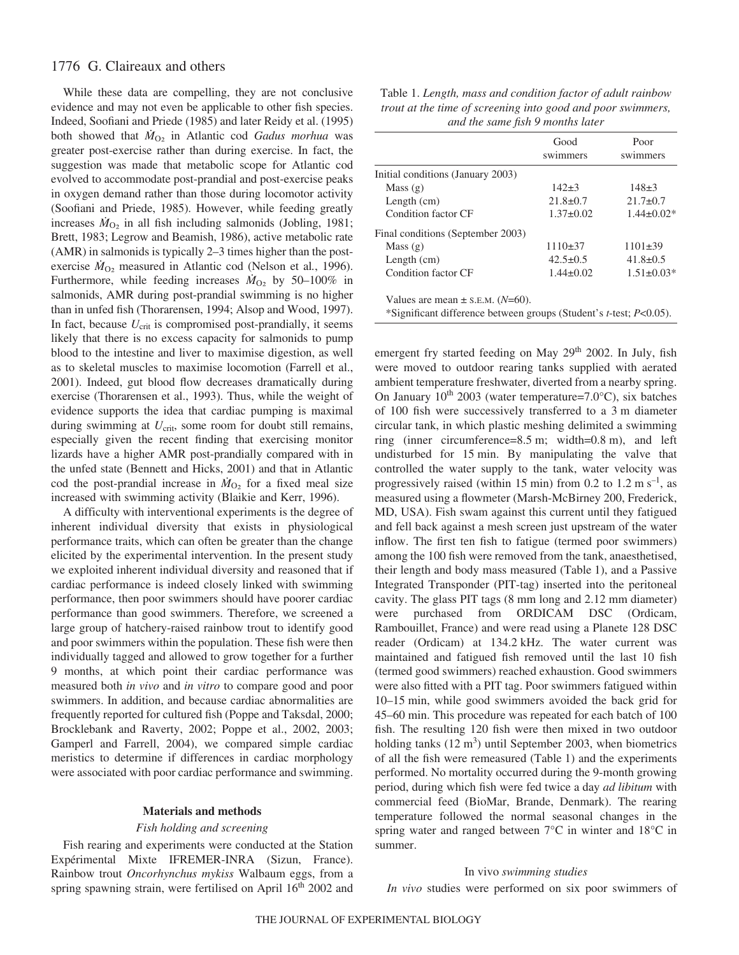## 1776 G. Claireaux and others

While these data are compelling, they are not conclusive evidence and may not even be applicable to other fish species. Indeed, Soofiani and Priede (1985) and later Reidy et al. (1995) both showed that  $M_{O<sub>2</sub>}$  in Atlantic cod *Gadus morhua* was greater post-exercise rather than during exercise. In fact, the suggestion was made that metabolic scope for Atlantic cod evolved to accommodate post-prandial and post-exercise peaks in oxygen demand rather than those during locomotor activity (Soofiani and Priede, 1985). However, while feeding greatly increases  $M_{O<sub>2</sub>}$  in all fish including salmonids (Jobling, 1981; Brett, 1983; Legrow and Beamish, 1986), active metabolic rate (AMR) in salmonids is typically 2–3 times higher than the postexercise  $M_{O<sub>2</sub>}$  measured in Atlantic cod (Nelson et al., 1996). Furthermore, while feeding increases  $\dot{M}_{O_2}$  by 50–100% in salmonids, AMR during post-prandial swimming is no higher than in unfed fish (Thorarensen, 1994; Alsop and Wood, 1997). In fact, because  $U_{\text{crit}}$  is compromised post-prandially, it seems likely that there is no excess capacity for salmonids to pump blood to the intestine and liver to maximise digestion, as well as to skeletal muscles to maximise locomotion (Farrell et al., 2001). Indeed, gut blood flow decreases dramatically during exercise (Thorarensen et al., 1993). Thus, while the weight of evidence supports the idea that cardiac pumping is maximal during swimming at  $U_{\text{crit}}$ , some room for doubt still remains, especially given the recent finding that exercising monitor lizards have a higher AMR post-prandially compared with in the unfed state (Bennett and Hicks, 2001) and that in Atlantic cod the post-prandial increase in  $\dot{M}_{O<sub>2</sub>}$  for a fixed meal size increased with swimming activity (Blaikie and Kerr, 1996).

A difficulty with interventional experiments is the degree of inherent individual diversity that exists in physiological performance traits, which can often be greater than the change elicited by the experimental intervention. In the present study we exploited inherent individual diversity and reasoned that if cardiac performance is indeed closely linked with swimming performance, then poor swimmers should have poorer cardiac performance than good swimmers. Therefore, we screened a large group of hatchery-raised rainbow trout to identify good and poor swimmers within the population. These fish were then individually tagged and allowed to grow together for a further 9 months, at which point their cardiac performance was measured both *in vivo* and *in vitro* to compare good and poor swimmers. In addition, and because cardiac abnormalities are frequently reported for cultured fish (Poppe and Taksdal, 2000; Brocklebank and Raverty, 2002; Poppe et al., 2002, 2003; Gamperl and Farrell, 2004), we compared simple cardiac meristics to determine if differences in cardiac morphology were associated with poor cardiac performance and swimming.

### **Materials and methods**

## *Fish holding and screening*

Fish rearing and experiments were conducted at the Station Expérimental Mixte IFREMER-INRA (Sizun, France). Rainbow trout *Oncorhynchus mykiss* Walbaum eggs, from a spring spawning strain, were fertilised on April 16<sup>th</sup> 2002 and

| Table 1. Length, mass and condition factor of adult rainbow |
|-------------------------------------------------------------|
| trout at the time of screening into good and poor swimmers, |
| and the same fish 9 months later                            |

|                                      | Good<br>swimmers | Poor<br>swimmers |
|--------------------------------------|------------------|------------------|
| Initial conditions (January 2003)    |                  |                  |
| Mass $(g)$                           | $142\pm3$        | $148\pm3$        |
| Length $(cm)$                        | $21.8 \pm 0.7$   | $21.7 \pm 0.7$   |
| Condition factor CF                  | $1.37 \pm 0.02$  | $1.44 \pm 0.02*$ |
| Final conditions (September 2003)    |                  |                  |
| Mass $(g)$                           | $1110\pm37$      | $1101 \pm 39$    |
| Length $(cm)$                        | $42.5 \pm 0.5$   | $41.8 \pm 0.5$   |
| Condition factor CF                  | $1.44 \pm 0.02$  | $1.51 \pm 0.03*$ |
| Values are mean $\pm$ s.E.M. (N=60). |                  |                  |

\*Significant difference between groups (Student's *t*-test; *P*<0.05).

emergent fry started feeding on May 29<sup>th</sup> 2002. In July, fish were moved to outdoor rearing tanks supplied with aerated ambient temperature freshwater, diverted from a nearby spring. On January  $10^{th}$  2003 (water temperature=7.0°C), six batches of 100 fish were successively transferred to a 3 m diameter circular tank, in which plastic meshing delimited a swimming ring (inner circumference= $8.5 \text{ m}$ ; width=0.8 m), and left undisturbed for 15 min. By manipulating the valve that controlled the water supply to the tank, water velocity was progressively raised (within 15 min) from 0.2 to 1.2 m  $s^{-1}$ , as measured using a flowmeter (Marsh-McBirney 200, Frederick, MD, USA). Fish swam against this current until they fatigued and fell back against a mesh screen just upstream of the water inflow. The first ten fish to fatigue (termed poor swimmers) among the 100 fish were removed from the tank, anaesthetised, their length and body mass measured (Table 1), and a Passive Integrated Transponder (PIT-tag) inserted into the peritoneal cavity. The glass PIT tags (8 mm long and 2.12 mm diameter) were purchased from ORDICAM DSC (Ordicam, Rambouillet, France) and were read using a Planete 128 DSC reader (Ordicam) at 134.2 kHz. The water current was maintained and fatigued fish removed until the last 10 fish (termed good swimmers) reached exhaustion. Good swimmers were also fitted with a PIT tag. Poor swimmers fatigued within 10–15 min, while good swimmers avoided the back grid for 45–60 min. This procedure was repeated for each batch of 100 fish. The resulting 120 fish were then mixed in two outdoor holding tanks  $(12 \text{ m}^3)$  until September 2003, when biometrics of all the fish were remeasured (Table 1) and the experiments performed. No mortality occurred during the 9-month growing period, during which fish were fed twice a day *ad libitum* with commercial feed (BioMar, Brande, Denmark). The rearing temperature followed the normal seasonal changes in the spring water and ranged between 7°C in winter and 18°C in summer.

#### In vivo *swimming studies*

*In vivo* studies were performed on six poor swimmers of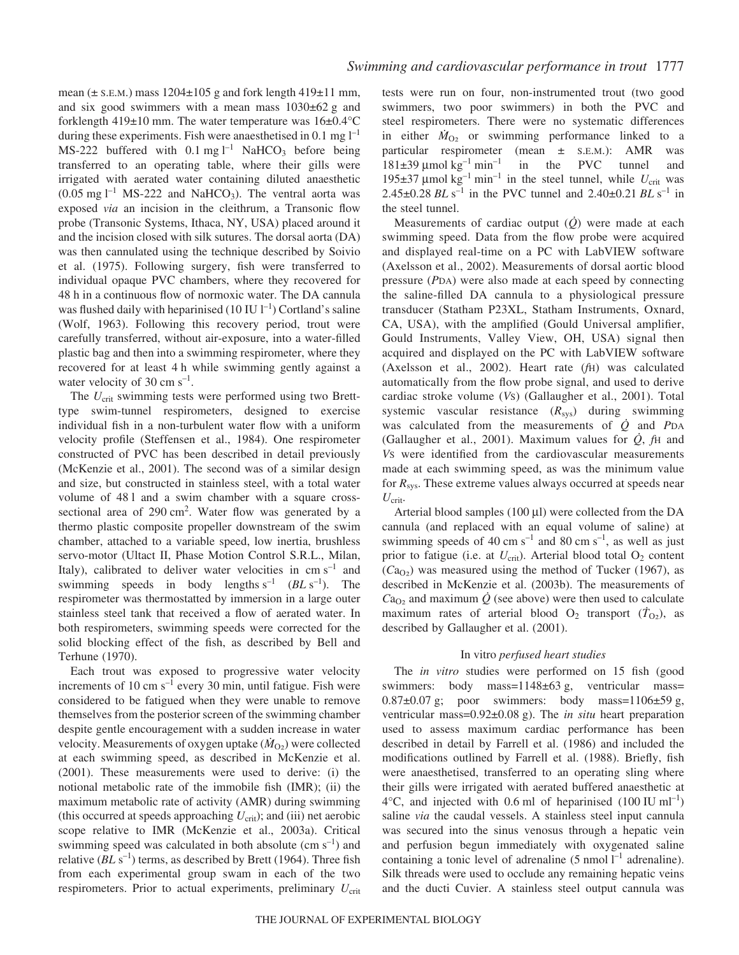mean ( $\pm$  s.E.M.) mass 1204 $\pm$ 105 g and fork length 419 $\pm$ 11 mm, and six good swimmers with a mean mass  $1030\pm62$  g and forklength  $419\pm10$  mm. The water temperature was  $16\pm0.4^{\circ}$ C during these experiments. Fish were anaesthetised in 0.1 mg  $l^{-1}$ MS-222 buffered with  $0.1 \text{ mg l}^{-1}$  NaHCO<sub>3</sub> before being transferred to an operating table, where their gills were irrigated with aerated water containing diluted anaesthetic  $(0.05 \text{ mg l}^{-1} \text{ MS-222}$  and NaHCO<sub>3</sub>). The ventral aorta was exposed *via* an incision in the cleithrum, a Transonic flow probe (Transonic Systems, Ithaca, NY, USA) placed around it and the incision closed with silk sutures. The dorsal aorta (DA) was then cannulated using the technique described by Soivio et al. (1975). Following surgery, fish were transferred to individual opaque PVC chambers, where they recovered for 48 h in a continuous flow of normoxic water. The DA cannula was flushed daily with heparinised  $(10 IUI^{-1})$  Cortland's saline (Wolf, 1963). Following this recovery period, trout were carefully transferred, without air-exposure, into a water-filled plastic bag and then into a swimming respirometer, where they recovered for at least 4 h while swimming gently against a water velocity of 30 cm  $s^{-1}$ .

The  $U_{\text{crit}}$  swimming tests were performed using two Bretttype swim-tunnel respirometers, designed to exercise individual fish in a non-turbulent water flow with a uniform velocity profile (Steffensen et al., 1984). One respirometer constructed of PVC has been described in detail previously (McKenzie et al., 2001). The second was of a similar design and size, but constructed in stainless steel, with a total water volume of 481 and a swim chamber with a square crosssectional area of 290 cm<sup>2</sup>. Water flow was generated by a thermo plastic composite propeller downstream of the swim chamber, attached to a variable speed, low inertia, brushless servo-motor (Ultact II, Phase Motion Control S.R.L., Milan, Italy), calibrated to deliver water velocities in  $\text{cm s}^{-1}$  and swimming speeds in body lengths  $s^{-1}$  (*BL*  $s^{-1}$ ). The respirometer was thermostatted by immersion in a large outer stainless steel tank that received a flow of aerated water. In both respirometers, swimming speeds were corrected for the solid blocking effect of the fish, as described by Bell and Terhune (1970).

Each trout was exposed to progressive water velocity increments of 10 cm  $s^{-1}$  every 30 min, until fatigue. Fish were considered to be fatigued when they were unable to remove themselves from the posterior screen of the swimming chamber despite gentle encouragement with a sudden increase in water velocity. Measurements of oxygen uptake  $(M<sub>O2</sub>)$  were collected at each swimming speed, as described in McKenzie et al. (2001). These measurements were used to derive: (i) the notional metabolic rate of the immobile fish (IMR); (ii) the maximum metabolic rate of activity (AMR) during swimming (this occurred at speeds approaching  $U_{\text{crit}}$ ); and (iii) net aerobic scope relative to IMR (McKenzie et al., 2003a). Critical swimming speed was calculated in both absolute (cm  $s^{-1}$ ) and relative  $(BL\text{ s}^{-1})$  terms, as described by Brett (1964). Three fish from each experimental group swam in each of the two respirometers. Prior to actual experiments, preliminary  $U_{\text{crit}}$  tests were run on four, non-instrumented trout (two good swimmers, two poor swimmers) in both the PVC and steel respirometers. There were no systematic differences in either  $M_{O<sub>2</sub>}$  or swimming performance linked to a particular respirometer (mean ± S.E.M.): AMR was  $181\pm39 \text{ }\mu\text{mol kg}^{-1} \text{ min}^{-1}$  in the PVC tunnel and 195 $\pm$ 37 µmol kg<sup>-1</sup> min<sup>-1</sup> in the steel tunnel, while  $U_{\text{crit}}$  was 2.45 $\pm$ 0.28 *BL* s<sup>-1</sup> in the PVC tunnel and 2.40 $\pm$ 0.21 *BL* s<sup>-1</sup> in the steel tunnel.

Measurements of cardiac output (*Q*) were made at each swimming speed. Data from the flow probe were acquired and displayed real-time on a PC with LabVIEW software (Axelsson et al., 2002). Measurements of dorsal aortic blood pressure (*P*DA) were also made at each speed by connecting the saline-filled DA cannula to a physiological pressure transducer (Statham P23XL, Statham Instruments, Oxnard, CA, USA), with the amplified (Gould Universal amplifier, Gould Instruments, Valley View, OH, USA) signal then acquired and displayed on the PC with LabVIEW software (Axelsson et al., 2002). Heart rate (*f*H) was calculated automatically from the flow probe signal, and used to derive cardiac stroke volume (*V*S) (Gallaugher et al., 2001). Total systemic vascular resistance ( $R<sub>sys</sub>$ ) during swimming was calculated from the measurements of  $\dot{Q}$  and *PDA* (Gallaugher et al., 2001). Maximum values for  $\dot{Q}$ ,  $fH$  and *V*S were identified from the cardiovascular measurements made at each swimming speed, as was the minimum value for *R*sys. These extreme values always occurred at speeds near  $U_{\text{crit}}$ .

Arterial blood samples  $(100 \mu l)$  were collected from the DA cannula (and replaced with an equal volume of saline) at swimming speeds of 40 cm  $s^{-1}$  and 80 cm  $s^{-1}$ , as well as just prior to fatigue (i.e. at  $U_{\text{crit}}$ ). Arterial blood total O<sub>2</sub> content  $(Ca<sub>O2</sub>)$  was measured using the method of Tucker (1967), as described in McKenzie et al. (2003b). The measurements of  $Ca<sub>O2</sub>$  and maximum  $\dot{Q}$  (see above) were then used to calculate maximum rates of arterial blood  $O_2$  transport ( $T_{O_2}$ ), as described by Gallaugher et al. (2001).

### In vitro *perfused heart studies*

The *in vitro* studies were performed on 15 fish (good swimmers: body mass= $1148\pm63$  g, ventricular mass=  $0.87\pm0.07$  g; poor swimmers: body mass=1106 $\pm$ 59 g, ventricular mass=0.92±0.08 g). The *in situ* heart preparation used to assess maximum cardiac performance has been described in detail by Farrell et al. (1986) and included the modifications outlined by Farrell et al. (1988). Briefly, fish were anaesthetised, transferred to an operating sling where their gills were irrigated with aerated buffered anaesthetic at  $4^{\circ}$ C, and injected with 0.6 ml of heparinised (100 IU ml<sup>-1</sup>) saline *via* the caudal vessels. A stainless steel input cannula was secured into the sinus venosus through a hepatic vein and perfusion begun immediately with oxygenated saline containing a tonic level of adrenaline (5 nmol  $l^{-1}$  adrenaline). Silk threads were used to occlude any remaining hepatic veins and the ducti Cuvier. A stainless steel output cannula was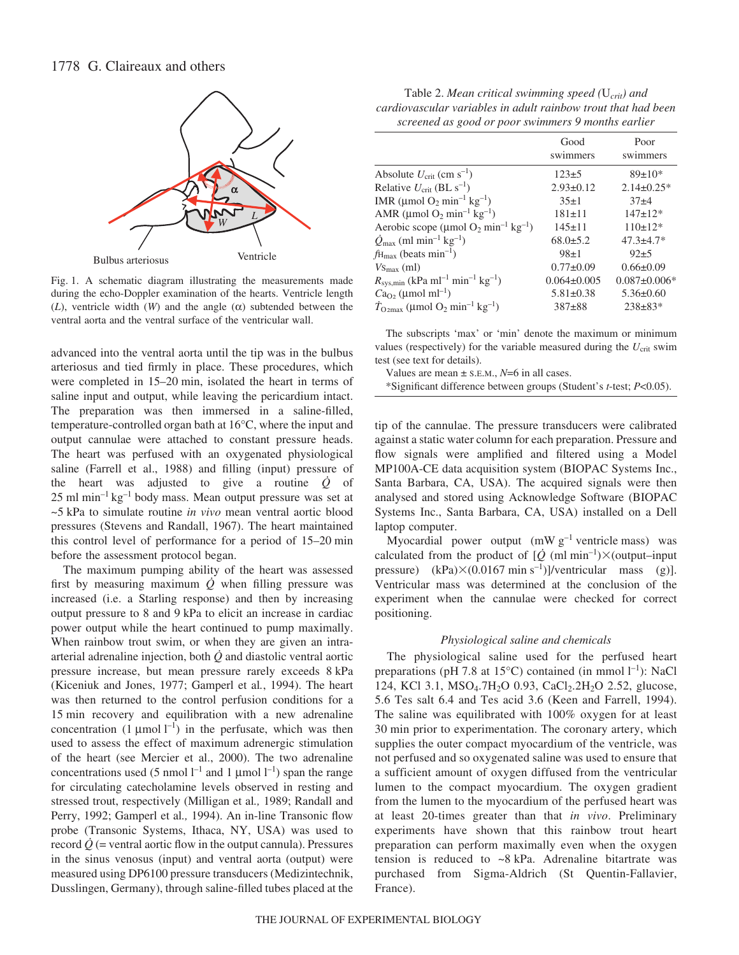

Fig. 1. A schematic diagram illustrating the measurements made during the echo-Doppler examination of the hearts. Ventricle length ( $L$ ), ventricle width ( $W$ ) and the angle ( $\alpha$ ) subtended between the ventral aorta and the ventral surface of the ventricular wall.

advanced into the ventral aorta until the tip was in the bulbus arteriosus and tied firmly in place. These procedures, which were completed in 15–20 min, isolated the heart in terms of saline input and output, while leaving the pericardium intact. The preparation was then immersed in a saline-filled, temperature-controlled organ bath at 16°C, where the input and output cannulae were attached to constant pressure heads. The heart was perfused with an oxygenated physiological saline (Farrell et al., 1988) and filling (input) pressure of the heart was adjusted to give a routine *Q* of  $25$  ml min<sup>-1</sup> kg<sup>-1</sup> body mass. Mean output pressure was set at ~5·kPa to simulate routine *in vivo* mean ventral aortic blood pressures (Stevens and Randall, 1967). The heart maintained this control level of performance for a period of  $15-20$  min before the assessment protocol began.

The maximum pumping ability of the heart was assessed first by measuring maximum  $\dot{Q}$  when filling pressure was increased (i.e. a Starling response) and then by increasing output pressure to 8 and 9 kPa to elicit an increase in cardiac power output while the heart continued to pump maximally. When rainbow trout swim, or when they are given an intraarterial adrenaline injection, both *Q* and diastolic ventral aortic pressure increase, but mean pressure rarely exceeds 8·kPa (Kiceniuk and Jones, 1977; Gamperl et al*.*, 1994). The heart was then returned to the control perfusion conditions for a 15 min recovery and equilibration with a new adrenaline concentration  $(1 \mu \text{mol} \, \text{l}^{-1})$  in the perfusate, which was then used to assess the effect of maximum adrenergic stimulation of the heart (see Mercier et al., 2000). The two adrenaline concentrations used (5 nmol  $l^{-1}$  and 1 µmol  $l^{-1}$ ) span the range for circulating catecholamine levels observed in resting and stressed trout, respectively (Milligan et al*.,* 1989; Randall and Perry, 1992; Gamperl et al*.,* 1994). An in-line Transonic flow probe (Transonic Systems, Ithaca, NY, USA) was used to record  $\dot{Q}$  (= ventral aortic flow in the output cannula). Pressures in the sinus venosus (input) and ventral aorta (output) were measured using DP6100 pressure transducers (Medizintechnik, Dusslingen, Germany), through saline-filled tubes placed at the

Table 2. *Mean critical swimming speed (U<sub>crit</sub>) and cardiovascular variables in adult rainbow trout that had been screened as good or poor swimmers 9 months earlier*

| Good<br>swimmers  | Poor<br>swimmers   |
|-------------------|--------------------|
| $123+5$           | $89 \pm 10*$       |
| $2.93 \pm 0.12$   | $2.14\pm0.25*$     |
| $35+1$            | $37+4$             |
| $181 \pm 11$      | $147 \pm 12*$      |
| $145 \pm 11$      | $110\pm12*$        |
| $68.0 \pm 5.2$    | $47.3 \pm 4.7*$    |
| $98+1$            | $92+5$             |
| $0.77 \pm 0.09$   | $0.66 \pm 0.09$    |
| $0.064 \pm 0.005$ | $0.087 \pm 0.006*$ |
| $5.81 \pm 0.38$   | $5.36 \pm 0.60$    |
| $387+88$          | $238 \pm 83*$      |
|                   |                    |

The subscripts 'max' or 'min' denote the maximum or minimum values (respectively) for the variable measured during the  $U_{\text{crit}}$  swim test (see text for details).

Values are mean ± S.E.M., *N*=6 in all cases.

\*Significant difference between groups (Student's *t*-test; *P*<0.05).

tip of the cannulae. The pressure transducers were calibrated against a static water column for each preparation. Pressure and flow signals were amplified and filtered using a Model MP100A-CE data acquisition system (BIOPAC Systems Inc., Santa Barbara, CA, USA). The acquired signals were then analysed and stored using Acknowledge Software (BIOPAC Systems Inc., Santa Barbara, CA, USA) installed on a Dell laptop computer.

Myocardial power output  $(mWg^{-1}$  ventricle mass) was calculated from the product of  $[\dot{Q}$  (ml min<sup>-1</sup>) $\times$ (output–input pressure) (kPa) $\times$ (0.0167 min s<sup>-1</sup>)]/ventricular mass (g)]. Ventricular mass was determined at the conclusion of the experiment when the cannulae were checked for correct positioning.

## *Physiological saline and chemicals*

The physiological saline used for the perfused heart preparations (pH 7.8 at 15 $^{\circ}$ C) contained (in mmol l<sup>-1</sup>): NaCl 124, KCl 3.1, MSO<sub>4</sub>.7H<sub>2</sub>O 0.93, CaCl<sub>2</sub>.2H<sub>2</sub>O 2.52, glucose, 5.6 Tes salt 6.4 and Tes acid 3.6 (Keen and Farrell, 1994). The saline was equilibrated with 100% oxygen for at least 30 min prior to experimentation. The coronary artery, which supplies the outer compact myocardium of the ventricle, was not perfused and so oxygenated saline was used to ensure that a sufficient amount of oxygen diffused from the ventricular lumen to the compact myocardium. The oxygen gradient from the lumen to the myocardium of the perfused heart was at least 20-times greater than that *in vivo*. Preliminary experiments have shown that this rainbow trout heart preparation can perform maximally even when the oxygen tension is reduced to  $\sim 8$  kPa. Adrenaline bitartrate was purchased from Sigma-Aldrich (St Quentin-Fallavier, France).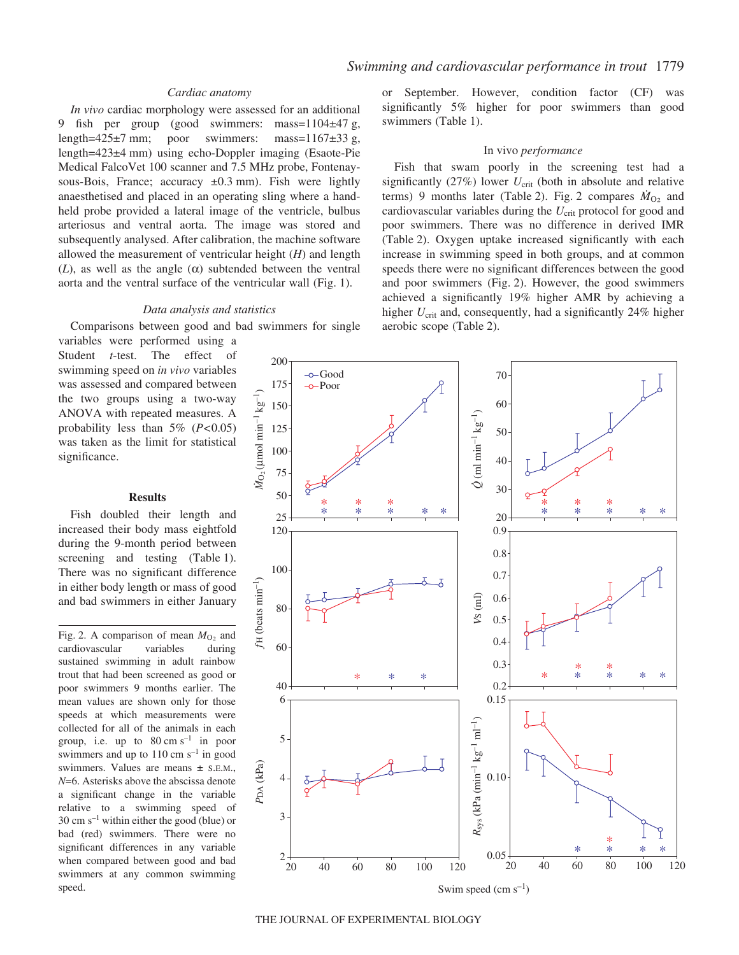## *Cardiac anatomy*

*In vivo* cardiac morphology were assessed for an additional 9 fish per group (good swimmers: mass= $1104 \pm 47$  g, length=425 $\pm$ 7 mm; poor swimmers: mass=1167 $\pm$ 33 g, length=423±4 mm) using echo-Doppler imaging (Esaote-Pie Medical FalcoVet 100 scanner and 7.5 MHz probe, Fontenaysous-Bois, France; accuracy  $\pm 0.3$  mm). Fish were lightly anaesthetised and placed in an operating sling where a handheld probe provided a lateral image of the ventricle, bulbus arteriosus and ventral aorta. The image was stored and subsequently analysed. After calibration, the machine software allowed the measurement of ventricular height (*H*) and length (*L*), as well as the angle  $(\alpha)$  subtended between the ventral aorta and the ventral surface of the ventricular wall (Fig. 1).

## *Data analysis and statistics*

Comparisons between good and bad swimmers for single

variables were performed using a Student *t*-test. The effect of swimming speed on *in vivo* variables was assessed and compared between the two groups using a two-way ANOVA with repeated measures. A probability less than 5% (*P<*0.05) was taken as the limit for statistical significance.

## **Results**

Fish doubled their length and increased their body mass eightfold during the 9-month period between screening and testing (Table 1). There was no significant difference in either body length or mass of good and bad swimmers in either January

Fig. 2. A comparison of mean  $M<sub>O<sub>2</sub></sub>$  and cardiovascular variables during sustained swimming in adult rainbow trout that had been screened as good or poor swimmers 9 months earlier. The mean values are shown only for those speeds at which measurements were collected for all of the animals in each group, i.e. up to  $80 \text{ cm s}^{-1}$  in poor swimmers and up to  $110 \text{ cm s}^{-1}$  in good swimmers. Values are means ± S.E.M., *N*=6. Asterisks above the abscissa denote a significant change in the variable relative to a swimming speed of 30 cm  $s^{-1}$  within either the good (blue) or bad (red) swimmers. There were no significant differences in any variable when compared between good and bad swimmers at any common swimming speed.

or September. However, condition factor (CF) was significantly 5% higher for poor swimmers than good swimmers (Table 1).

### In vivo *performance*

Fish that swam poorly in the screening test had a significantly  $(27%)$  lower  $U_{\text{crit}}$  (both in absolute and relative terms) 9 months later (Table 2). Fig. 2 compares  $\dot{M}_{\text{O}_2}$  and cardiovascular variables during the *U*<sub>crit</sub> protocol for good and poor swimmers. There was no difference in derived IMR (Table 2). Oxygen uptake increased significantly with each increase in swimming speed in both groups, and at common speeds there were no significant differences between the good and poor swimmers (Fig. 2). However, the good swimmers achieved a significantly 19% higher AMR by achieving a higher *U*<sub>crit</sub> and, consequently, had a significantly 24% higher aerobic scope (Table 2).



THE JOURNAL OF EXPERIMENTAL BIOLOGY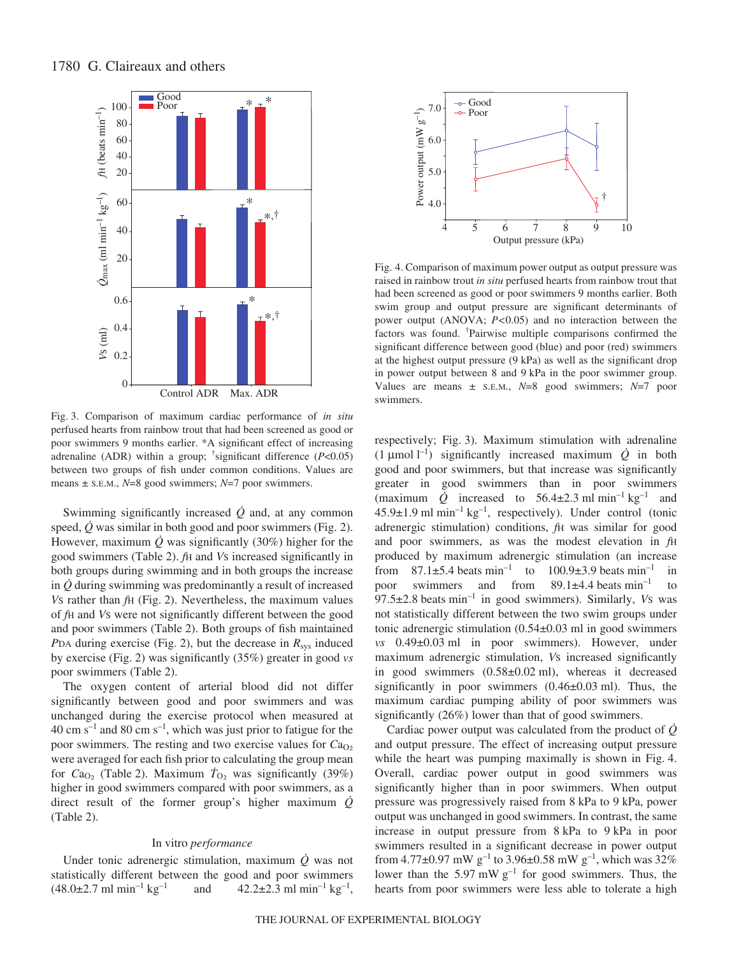

Fig. 3. Comparison of maximum cardiac performance of *in situ* perfused hearts from rainbow trout that had been screened as good or poor swimmers 9 months earlier. \*A significant effect of increasing adrenaline (ADR) within a group; † significant difference (*P*<0.05) between two groups of fish under common conditions. Values are means ± S.E.M., *N*=8 good swimmers; *N*=7 poor swimmers.

Swimming significantly increased  $\dot{Q}$  and, at any common speed,  $Q$  was similar in both good and poor swimmers (Fig. 2). However, maximum  $\dot{Q}$  was significantly (30%) higher for the good swimmers (Table·2). *f*H and *V*S increased significantly in both groups during swimming and in both groups the increase in *Q* during swimming was predominantly a result of increased *Vs* rather than *f*H (Fig. 2). Nevertheless, the maximum values of *f*H and *V*S were not significantly different between the good and poor swimmers (Table 2). Both groups of fish maintained *PDA during exercise (Fig. 2), but the decrease in*  $R_{sys}$  *induced* by exercise (Fig.·2) was significantly (35%) greater in good *vs* poor swimmers (Table 2).

The oxygen content of arterial blood did not differ significantly between good and poor swimmers and was unchanged during the exercise protocol when measured at  $40 \text{ cm s}^{-1}$  and  $80 \text{ cm s}^{-1}$ , which was just prior to fatigue for the poor swimmers. The resting and two exercise values for  $Ca<sub>O2</sub>$ were averaged for each fish prior to calculating the group mean for  $Ca<sub>O<sub>2</sub></sub>$  (Table 2). Maximum  $T<sub>O<sub>2</sub></sub>$  was significantly (39%) higher in good swimmers compared with poor swimmers, as a direct result of the former group's higher maximum *Q*  $(Table 2)$ .

### In vitro *performance*

Under tonic adrenergic stimulation, maximum *Q* was not statistically different between the good and poor swimmers  $(48.0\pm2.7 \text{ ml min}^{-1}\text{ kg}^{-1}$  and  $42.2\pm2.3 \text{ ml min}^{-1}\text{ kg}^{-1}$ ,



Fig. 4. Comparison of maximum power output as output pressure was raised in rainbow trout *in situ* perfused hearts from rainbow trout that had been screened as good or poor swimmers 9 months earlier. Both swim group and output pressure are significant determinants of power output (ANOVA; *P<*0.05) and no interaction between the factors was found. † Pairwise multiple comparisons confirmed the significant difference between good (blue) and poor (red) swimmers at the highest output pressure  $(9 \text{ kPa})$  as well as the significant drop in power output between 8 and 9 kPa in the poor swimmer group. Values are means ± S.E.M., *N*=8 good swimmers; *N*=7 poor swimmers.

respectively; Fig. 3). Maximum stimulation with adrenaline  $(1 \mu \text{mol } 1^{-1})$  significantly increased maximum  $\dot{Q}$  in both good and poor swimmers, but that increase was significantly greater in good swimmers than in poor swimmers (maximum  $\dot{Q}$  increased to 56.4±2.3 ml min<sup>-1</sup> kg<sup>-1</sup> and  $45.9\pm1.9$  ml min<sup>-1</sup> kg<sup>-1</sup>, respectively). Under control (tonic adrenergic stimulation) conditions, *f*H was similar for good and poor swimmers, as was the modest elevation in *f*H produced by maximum adrenergic stimulation (an increase from  $87.1\pm5.4$  beats min<sup>-1</sup> to  $100.9\pm3.9$  beats min<sup>-1</sup> in poor swimmers and from  $89.1\pm4.4$  beats  $min^{-1}$  to 97.5±2.8 beats min<sup>-1</sup> in good swimmers). Similarly, *Vs* was not statistically different between the two swim groups under tonic adrenergic stimulation  $(0.54\pm0.03 \text{ ml in good swimmers})$ *vs* 0.49±0.03 ml in poor swimmers). However, under maximum adrenergic stimulation, *V*S increased significantly in good swimmers  $(0.58\pm0.02 \text{ ml})$ , whereas it decreased significantly in poor swimmers  $(0.46\pm0.03 \text{ ml})$ . Thus, the maximum cardiac pumping ability of poor swimmers was significantly (26%) lower than that of good swimmers.

Cardiac power output was calculated from the product of *Q* and output pressure. The effect of increasing output pressure while the heart was pumping maximally is shown in Fig. 4. Overall, cardiac power output in good swimmers was significantly higher than in poor swimmers. When output pressure was progressively raised from 8 kPa to 9 kPa, power output was unchanged in good swimmers. In contrast, the same increase in output pressure from 8 kPa to 9 kPa in poor swimmers resulted in a significant decrease in power output from  $4.77\pm0.97~\rm mW~g^{-1}$  to  $3.96\pm0.58~\rm mW~g^{-1}$ , which was  $32\%$ lower than the 5.97 mW  $g^{-1}$  for good swimmers. Thus, the hearts from poor swimmers were less able to tolerate a high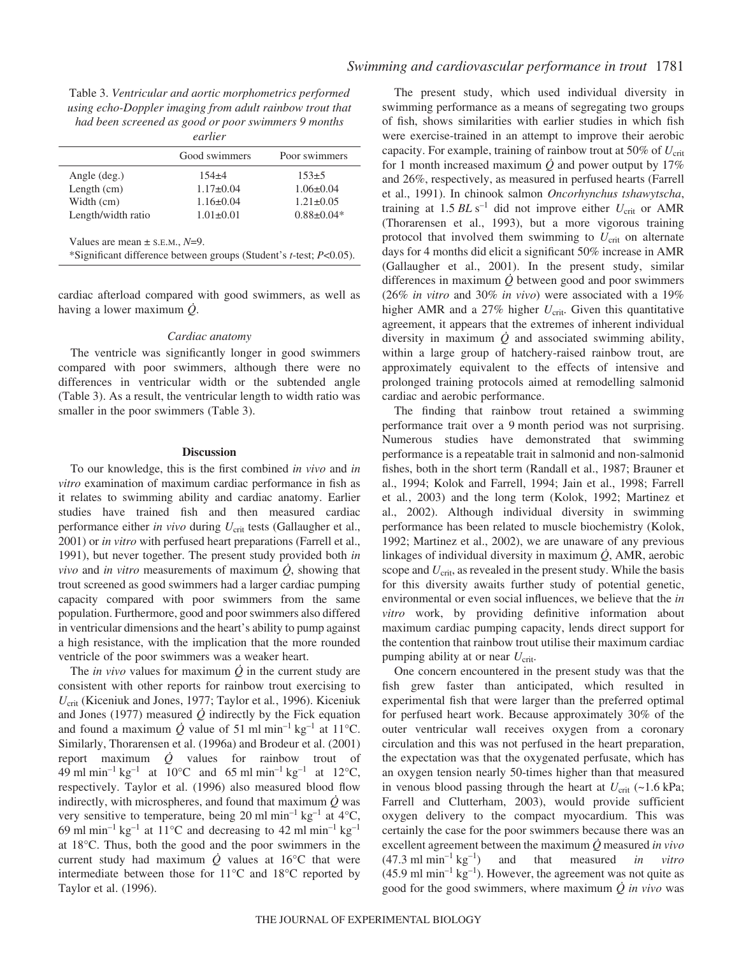Table 3. *Ventricular and aortic morphometrics performed using echo-Doppler imaging from adult rainbow trout that had been screened as good or poor swimmers 9 months earlier*

|                    | Good swimmers   | Poor swimmers    |
|--------------------|-----------------|------------------|
| Angle (deg.)       | $154 + 4$       | $153+5$          |
| Length $(cm)$      | $1.17 \pm 0.04$ | $1.06 \pm 0.04$  |
| Width (cm)         | $1.16 \pm 0.04$ | $1.21 \pm 0.05$  |
| Length/width ratio | $1.01 \pm 0.01$ | $0.88 \pm 0.04*$ |

\*Significant difference between groups (Student's *t*-test; *P*<0.05).

cardiac afterload compared with good swimmers, as well as having a lower maximum *Q*.

#### *Cardiac anatomy*

The ventricle was significantly longer in good swimmers compared with poor swimmers, although there were no differences in ventricular width or the subtended angle (Table 3). As a result, the ventricular length to width ratio was smaller in the poor swimmers (Table 3).

#### **Discussion**

To our knowledge, this is the first combined *in vivo* and *in vitro* examination of maximum cardiac performance in fish as it relates to swimming ability and cardiac anatomy. Earlier studies have trained fish and then measured cardiac performance either *in vivo* during  $U_{\text{crit}}$  tests (Gallaugher et al., 2001) or *in vitro* with perfused heart preparations (Farrell et al., 1991), but never together. The present study provided both *in vivo* and *in vitro* measurements of maximum *Q*, showing that trout screened as good swimmers had a larger cardiac pumping capacity compared with poor swimmers from the same population. Furthermore, good and poor swimmers also differed in ventricular dimensions and the heart's ability to pump against a high resistance, with the implication that the more rounded ventricle of the poor swimmers was a weaker heart.

The *in vivo* values for maximum *Q* in the current study are consistent with other reports for rainbow trout exercising to *U*crit (Kiceniuk and Jones, 1977; Taylor et al*.*, 1996). Kiceniuk and Jones (1977) measured  $\dot{Q}$  indirectly by the Fick equation and found a maximum  $\dot{Q}$  value of 51 ml min<sup>-1</sup> kg<sup>-1</sup> at 11<sup>o</sup>C. Similarly, Thorarensen et al. (1996a) and Brodeur et al. (2001) report maximum  $\dot{Q}$  values for rainbow trout of 49 ml min<sup>-1</sup> kg<sup>-1</sup> at 10°C and 65 ml min<sup>-1</sup> kg<sup>-1</sup> at 12°C, respectively. Taylor et al. (1996) also measured blood flow indirectly, with microspheres, and found that maximum  $\dot{Q}$  was very sensitive to temperature, being 20 ml min<sup>-1</sup> kg<sup>-1</sup> at  $4^{\circ}$ C, 69 ml min<sup>-1</sup> kg<sup>-1</sup> at 11<sup>o</sup>C and decreasing to 42 ml min<sup>-1</sup> kg<sup>-1</sup> at 18°C. Thus, both the good and the poor swimmers in the current study had maximum  $\dot{Q}$  values at 16<sup>o</sup>C that were intermediate between those for 11°C and 18°C reported by Taylor et al. (1996).

The present study, which used individual diversity in swimming performance as a means of segregating two groups of fish, shows similarities with earlier studies in which fish were exercise-trained in an attempt to improve their aerobic capacity. For example, training of rainbow trout at 50% of  $U_{\text{crit}}$ for 1 month increased maximum  $\dot{Q}$  and power output by 17% and 26%, respectively, as measured in perfused hearts (Farrell et al., 1991). In chinook salmon *Oncorhynchus tshawytscha*, training at  $1.5$  *BL* s<sup>-1</sup> did not improve either  $U_{\text{crit}}$  or AMR (Thorarensen et al., 1993), but a more vigorous training protocol that involved them swimming to  $U_{\text{crit}}$  on alternate days for 4 months did elicit a significant 50% increase in AMR (Gallaugher et al., 2001). In the present study, similar differences in maximum *Q* between good and poor swimmers (26% *in vitro* and 30% *in vivo*) were associated with a 19% higher AMR and a 27% higher *U*<sub>crit</sub>. Given this quantitative agreement, it appears that the extremes of inherent individual diversity in maximum  $\dot{Q}$  and associated swimming ability, within a large group of hatchery-raised rainbow trout, are approximately equivalent to the effects of intensive and prolonged training protocols aimed at remodelling salmonid cardiac and aerobic performance.

The finding that rainbow trout retained a swimming performance trait over a 9 month period was not surprising. Numerous studies have demonstrated that swimming performance is a repeatable trait in salmonid and non-salmonid fishes, both in the short term (Randall et al., 1987; Brauner et al., 1994; Kolok and Farrell, 1994; Jain et al., 1998; Farrell et al*.*, 2003) and the long term (Kolok, 1992; Martinez et al., 2002). Although individual diversity in swimming performance has been related to muscle biochemistry (Kolok, 1992; Martinez et al., 2002), we are unaware of any previous linkages of individual diversity in maximum *Q*, AMR, aerobic scope and  $U_{\text{crit}}$ , as revealed in the present study. While the basis for this diversity awaits further study of potential genetic, environmental or even social influences, we believe that the *in vitro* work, by providing definitive information about maximum cardiac pumping capacity, lends direct support for the contention that rainbow trout utilise their maximum cardiac pumping ability at or near  $U_{\text{crit}}$ .

One concern encountered in the present study was that the fish grew faster than anticipated, which resulted in experimental fish that were larger than the preferred optimal for perfused heart work. Because approximately 30% of the outer ventricular wall receives oxygen from a coronary circulation and this was not perfused in the heart preparation, the expectation was that the oxygenated perfusate, which has an oxygen tension nearly 50-times higher than that measured in venous blood passing through the heart at  $U_{\text{crit}}$  (~1.6 kPa; Farrell and Clutterham, 2003), would provide sufficient oxygen delivery to the compact myocardium. This was certainly the case for the poor swimmers because there was an excellent agreement between the maximum *Q* measured *in vivo*  $(47.3 \text{ ml min}^{-1}\text{ kg}^{-1})$  and that measured *in vitro*  $(45.9 \text{ ml min}^{-1} \text{ kg}^{-1})$ . However, the agreement was not quite as good for the good swimmers, where maximum *Q in vivo* was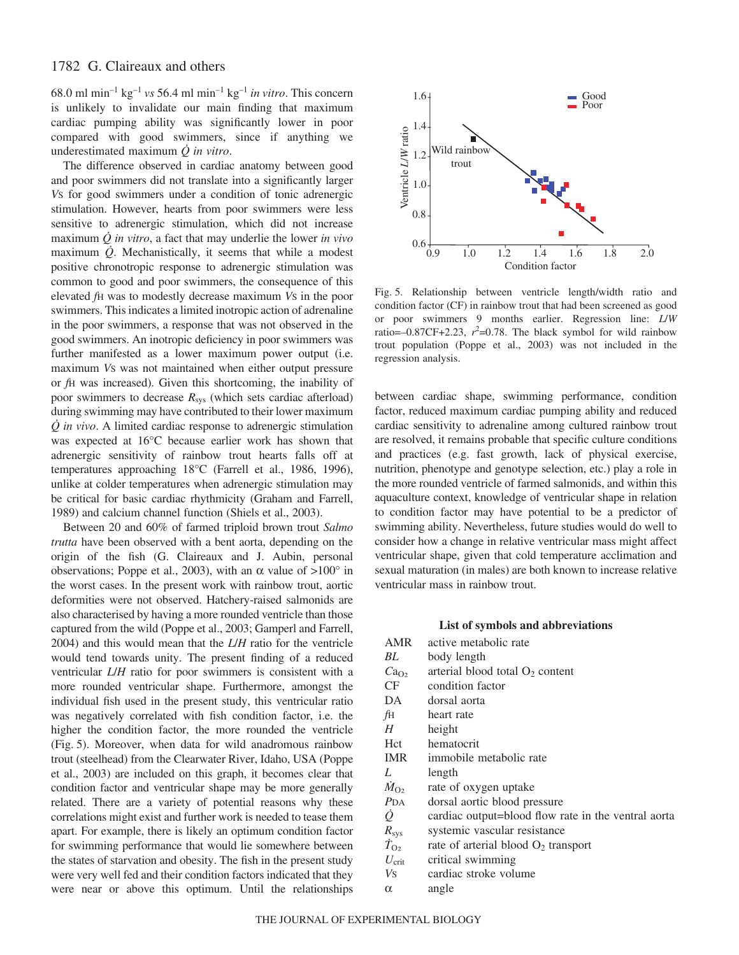68.0 ml min<sup>-1</sup> kg<sup>-1</sup> *vs* 56.4 ml min<sup>-1</sup> kg<sup>-1</sup> *in vitro*. This concern is unlikely to invalidate our main finding that maximum cardiac pumping ability was significantly lower in poor compared with good swimmers, since if anything we underestimated maximum *Q in vitro*.

The difference observed in cardiac anatomy between good and poor swimmers did not translate into a significantly larger *V*S for good swimmers under a condition of tonic adrenergic stimulation. However, hearts from poor swimmers were less sensitive to adrenergic stimulation, which did not increase maximum *Q in vitro*, a fact that may underlie the lower *in vivo* maximum *Q*. Mechanistically, it seems that while a modest positive chronotropic response to adrenergic stimulation was common to good and poor swimmers, the consequence of this elevated *f*H was to modestly decrease maximum *V*S in the poor swimmers. This indicates a limited inotropic action of adrenaline in the poor swimmers, a response that was not observed in the good swimmers. An inotropic deficiency in poor swimmers was further manifested as a lower maximum power output (i.e. maximum *Vs* was not maintained when either output pressure or *f*H was increased). Given this shortcoming, the inability of poor swimmers to decrease  $R_{sys}$  (which sets cardiac afterload) during swimming may have contributed to their lower maximum *Q in vivo*. A limited cardiac response to adrenergic stimulation was expected at 16°C because earlier work has shown that adrenergic sensitivity of rainbow trout hearts falls off at temperatures approaching 18°C (Farrell et al., 1986, 1996), unlike at colder temperatures when adrenergic stimulation may be critical for basic cardiac rhythmicity (Graham and Farrell, 1989) and calcium channel function (Shiels et al., 2003).

Between 20 and 60% of farmed triploid brown trout *Salmo trutta* have been observed with a bent aorta, depending on the origin of the fish (G. Claireaux and J. Aubin, personal observations; Poppe et al., 2003), with an α value of  $>100^\circ$  in the worst cases. In the present work with rainbow trout, aortic deformities were not observed. Hatchery-raised salmonids are also characterised by having a more rounded ventricle than those captured from the wild (Poppe et al., 2003; Gamperl and Farrell, 2004) and this would mean that the *L*/*H* ratio for the ventricle would tend towards unity. The present finding of a reduced ventricular *L*/*H* ratio for poor swimmers is consistent with a more rounded ventricular shape. Furthermore, amongst the individual fish used in the present study, this ventricular ratio was negatively correlated with fish condition factor, i.e. the higher the condition factor, the more rounded the ventricle (Fig. 5). Moreover, when data for wild anadromous rainbow trout (steelhead) from the Clearwater River, Idaho, USA (Poppe et al., 2003) are included on this graph, it becomes clear that condition factor and ventricular shape may be more generally related. There are a variety of potential reasons why these correlations might exist and further work is needed to tease them apart. For example, there is likely an optimum condition factor for swimming performance that would lie somewhere between the states of starvation and obesity. The fish in the present study were very well fed and their condition factors indicated that they were near or above this optimum. Until the relationships



Fig. 5. Relationship between ventricle length/width ratio and condition factor (CF) in rainbow trout that had been screened as good or poor swimmers 9 months earlier. Regression line: *L*/*W* ratio= $-0.87CF+2.23$ ,  $r^2$ =0.78. The black symbol for wild rainbow trout population (Poppe et al., 2003) was not included in the regression analysis.

between cardiac shape, swimming performance, condition factor, reduced maximum cardiac pumping ability and reduced cardiac sensitivity to adrenaline among cultured rainbow trout are resolved, it remains probable that specific culture conditions and practices (e.g. fast growth, lack of physical exercise, nutrition, phenotype and genotype selection, etc.) play a role in the more rounded ventricle of farmed salmonids, and within this aquaculture context, knowledge of ventricular shape in relation to condition factor may have potential to be a predictor of swimming ability. Nevertheless, future studies would do well to consider how a change in relative ventricular mass might affect ventricular shape, given that cold temperature acclimation and sexual maturation (in males) are both known to increase relative ventricular mass in rainbow trout.

#### **List of symbols and abbreviations**

| AMR                | active metabolic rate                               |
|--------------------|-----------------------------------------------------|
| BL                 | body length                                         |
| Ca <sub>O2</sub>   | arterial blood total $O_2$ content                  |
| CF                 | condition factor                                    |
| DA                 | dorsal aorta                                        |
| fH                 | heart rate                                          |
| Н                  | height                                              |
| Hct                | hematocrit                                          |
| <b>IMR</b>         | immobile metabolic rate                             |
| L                  | length                                              |
| $M_{\rm O2}$       | rate of oxygen uptake                               |
| $P_{\text{DA}}$    | dorsal aortic blood pressure                        |
| ġ                  | cardiac output=blood flow rate in the ventral aorta |
| $R_{\rm sys}$      | systemic vascular resistance                        |
| $\dot{T}_{\rm O2}$ | rate of arterial blood $O_2$ transport              |
| $U_{\rm crit}$     | critical swimming                                   |
| Vs                 | cardiac stroke volume                               |
| α                  | angle                                               |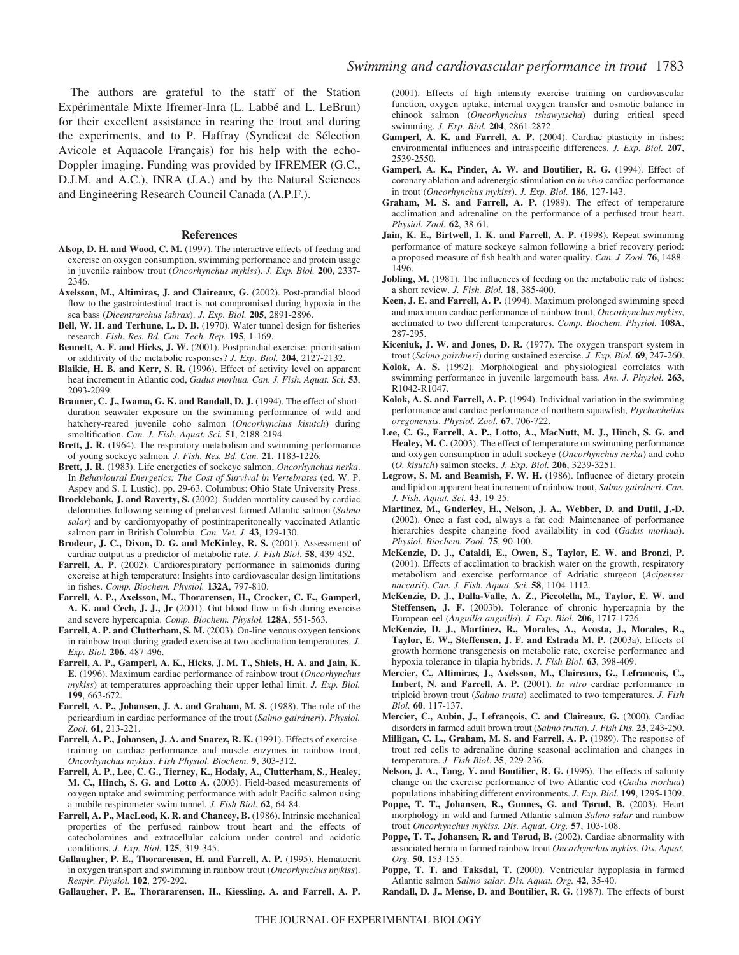The authors are grateful to the staff of the Station Expérimentale Mixte Ifremer-Inra (L. Labbé and L. LeBrun) for their excellent assistance in rearing the trout and during the experiments, and to P. Haffray (Syndicat de Sélection Avicole et Aquacole Français) for his help with the echo-Doppler imaging. Funding was provided by IFREMER (G.C., D.J.M. and A.C.), INRA (J.A.) and by the Natural Sciences and Engineering Research Council Canada (A.P.F.).

#### **References**

- **Alsop, D. H. and Wood, C. M.** (1997). The interactive effects of feeding and exercise on oxygen consumption, swimming performance and protein usage in juvenile rainbow trout (*Oncorhynchus mykiss*). *J. Exp. Biol.* **200**, 2337- 2346.
- Axelsson, M., Altimiras, J. and Claireaux, G. (2002). Post-prandial blood flow to the gastrointestinal tract is not compromised during hypoxia in the sea bass (*Dicentrarchus labrax*). *J. Exp. Biol.* **205**, 2891-2896.
- **Bell, W. H. and Terhune, L. D. B.** (1970). Water tunnel design for fisheries research. *Fish. Res. Bd. Can. Tech. Rep.* **195**, 1-169.
- **Bennett, A. F. and Hicks, J. W.** (2001). Postprandial exercise: prioritisation or additivity of the metabolic responses? *J. Exp. Biol.* **204**, 2127-2132.
- **Blaikie, H. B. and Kerr, S. R.** (1996). Effect of activity level on apparent heat increment in Atlantic cod, *Gadus morhua. Can. J. Fish. Aquat. Sci.* **53**, 2093-2099.
- Brauner, C. J., Iwama, G. K. and Randall, D. J. (1994). The effect of shortduration seawater exposure on the swimming performance of wild and hatchery-reared juvenile coho salmon (*Oncorhynchus kisutch*) during smoltification. *Can. J. Fish. Aquat. Sci.* **51**, 2188-2194.
- Brett, J. R. (1964). The respiratory metabolism and swimming performance of young sockeye salmon. *J. Fish. Res. Bd. Can.* **21**, 1183-1226.
- **Brett, J. R.** (1983). Life energetics of sockeye salmon, *Oncorhynchus nerka*. In *Behavioural Energetics: The Cost of Survival in Vertebrates* (ed. W. P. Aspey and S. I. Lustic), pp. 29-63. Columbus: Ohio State University Press.
- **Brocklebank, J. and Raverty, S.** (2002). Sudden mortality caused by cardiac deformities following seining of preharvest farmed Atlantic salmon (*Salmo salar*) and by cardiomyopathy of postintraperitoneally vaccinated Atlantic salmon parr in British Columbia. *Can. Vet. J.* **43**, 129-130.
- Brodeur, J. C., Dixon, D. G. and McKinley, R. S. (2001). Assessment of cardiac output as a predictor of metabolic rate. *J. Fish Biol*. **58**, 439-452.
- Farrell, A. P. (2002). Cardiorespiratory performance in salmonids during exercise at high temperature: Insights into cardiovascular design limitations in fishes. *Comp. Biochem. Physiol.* **132A**, 797-810.
- **Farrell, A. P., Axelsson, M., Thorarensen, H., Crocker, C. E., Gamperl, A. K. and Cech, J. J., Jr** (2001). Gut blood flow in fish during exercise and severe hypercapnia. *Comp. Biochem. Physiol.* **128A**, 551-563.
- Farrell, A. P. and Clutterham, S. M. (2003). On-line venous oxygen tensions in rainbow trout during graded exercise at two acclimation temperatures. *J. Exp. Biol.* **206**, 487-496.
- **Farrell, A. P., Gamperl, A. K., Hicks, J. M. T., Shiels, H. A. and Jain, K. E.** (1996). Maximum cardiac performance of rainbow trout (*Oncorhynchus mykiss*) at temperatures approaching their upper lethal limit. *J. Exp. Biol.* **199**, 663-672.
- Farrell, A. P., Johansen, J. A. and Graham, M. S. (1988). The role of the pericardium in cardiac performance of the trout (*Salmo gairdneri*). *Physiol. Zool.* **61**, 213-221.
- Farrell, A. P., Johansen, J. A. and Suarez, R. K. (1991). Effects of exercisetraining on cardiac performance and muscle enzymes in rainbow trout, *Oncorhynchus mykiss*. *Fish Physiol. Biochem.* **9**, 303-312.
- **Farrell, A. P., Lee, C. G., Tierney, K., Hodaly, A., Clutterham, S., Healey, M. C., Hinch, S. G. and Lotto A.** (2003). Field-based measurements of oxygen uptake and swimming performance with adult Pacific salmon using a mobile respirometer swim tunnel. *J. Fish Biol.* **62**, 64-84.
- Farrell, A. P., MacLeod, K. R. and Chancey, B. (1986). Intrinsic mechanical properties of the perfused rainbow trout heart and the effects of catecholamines and extracellular calcium under control and acidotic conditions. *J. Exp. Biol.* **125**, 319-345.
- Gallaugher, P. E., Thorarensen, H. and Farrell, A. P. (1995). Hematocrit in oxygen transport and swimming in rainbow trout (*Oncorhynchus mykiss*). *Respir. Physiol.* **102**, 279-292.

**Gallaugher, P. E., Thorararensen, H., Kiessling, A. and Farrell, A. P.**

(2001). Effects of high intensity exercise training on cardiovascular function, oxygen uptake, internal oxygen transfer and osmotic balance in chinook salmon (*Oncorhynchus tshawytscha*) during critical speed swimming. *J. Exp. Biol.* **204**, 2861-2872.

- Gamperl, A. K. and Farrell, A. P. (2004). Cardiac plasticity in fishes: environmental influences and intraspecific differences. *J. Exp. Biol.* **207**, 2539-2550.
- Gamperl, A. K., Pinder, A. W. and Boutilier, R. G. (1994). Effect of coronary ablation and adrenergic stimulation on *in vivo* cardiac performance in trout (*Oncorhynchus mykiss*). *J. Exp. Biol.* **186**, 127-143.
- **Graham, M. S. and Farrell, A. P.** (1989). The effect of temperature acclimation and adrenaline on the performance of a perfused trout heart. *Physiol. Zool.* **62**, 38-61.
- Jain, K. E., Birtwell, I. K. and Farrell, A. P. (1998). Repeat swimming performance of mature sockeye salmon following a brief recovery period: a proposed measure of fish health and water quality. *Can. J. Zool.* **76**, 1488- 1496.
- Jobling, M. (1981). The influences of feeding on the metabolic rate of fishes: a short review. *J. Fish. Biol.* **18**, 385-400.
- **Keen, J. E. and Farrell, A. P.** (1994). Maximum prolonged swimming speed and maximum cardiac performance of rainbow trout, *Oncorhynchus mykiss*, acclimated to two different temperatures. *Comp. Biochem. Physiol.* **108A**, 287-295.
- **Kiceniuk, J. W. and Jones, D. R.** (1977). The oxygen transport system in trout (*Salmo gairdneri*) during sustained exercise. *J. Exp. Biol.* **69**, 247-260.
- **Kolok, A. S.** (1992). Morphological and physiological correlates with swimming performance in juvenile largemouth bass. *Am. J. Physiol.* **263**, R1042-R1047.
- **Kolok, A. S. and Farrell, A. P.** (1994). Individual variation in the swimming performance and cardiac performance of northern squawfish, *Ptychocheilus oregonensis*. *Physiol. Zool.* **67**, 706-722.
- **Lee, C. G., Farrell, A. P., Lotto, A., MacNutt, M. J., Hinch, S. G. and** Healey, M. C. (2003). The effect of temperature on swimming performance and oxygen consumption in adult sockeye (*Oncorhynchus nerka*) and coho (*O. kisutch*) salmon stocks. *J. Exp. Biol.* **206**, 3239-3251.
- **Legrow, S. M. and Beamish, F. W. H.** (1986). Influence of dietary protein and lipid on apparent heat increment of rainbow trout, *Salmo gairdneri*. *Can. J. Fish. Aquat. Sci.* **43**, 19-25.
- **Martinez, M., Guderley, H., Nelson, J. A., Webber, D. and Dutil, J.-D.** (2002). Once a fast cod, always a fat cod: Maintenance of performance hierarchies despite changing food availability in cod (*Gadus morhua*). *Physiol. Biochem. Zool.* **75**, 90-100.
- **McKenzie, D. J., Cataldi, E., Owen, S., Taylor, E. W. and Bronzi, P.** (2001). Effects of acclimation to brackish water on the growth, respiratory metabolism and exercise performance of Adriatic sturgeon (*Acipenser naccarii*). *Can. J. Fish. Aquat. Sci.* **58**, 1104-1112.
- **McKenzie, D. J., Dalla-Valle, A. Z., Piccolella, M., Taylor, E. W. and Steffensen, J. F.** (2003b). Tolerance of chronic hypercapnia by the European eel (*Anguilla anguilla*). *J. Exp. Biol.* **206**, 1717-1726.
- **McKenzie, D. J., Martinez, R., Morales, A., Acosta, J., Morales, R.,** Taylor, E. W., Steffensen, J. F. and Estrada M. P. (2003a). Effects of growth hormone transgenesis on metabolic rate, exercise performance and hypoxia tolerance in tilapia hybrids. *J. Fish Biol.* **63**, 398-409.
- **Mercier, C., Altimiras, J., Axelsson, M., Claireaux, G., Lefrancois, C., Imbert, N. and Farrell, A. P.** (2001). *In vitro* cardiac performance in triploid brown trout (*Salmo trutta*) acclimated to two temperatures. *J. Fish Biol.* **60**, 117-137.
- Mercier, C., Aubin, J., Lefrançois, C. and Claireaux, G. (2000). Cardiac disorders in farmed adult brown trout (*Salmo trutta*). *J. Fish Dis.* **23**, 243-250.
- **Milligan, C. L., Graham, M. S. and Farrell, A. P.** (1989). The response of trout red cells to adrenaline during seasonal acclimation and changes in temperature. *J. Fish Biol*. **35**, 229-236.
- Nelson, J. A., Tang, Y. and Boutilier, R. G. (1996). The effects of salinity change on the exercise performance of two Atlantic cod (*Gadus morhua*) populations inhabiting different environments. *J. Exp. Biol.* **199**, 1295-1309.
- Poppe, T. T., Johansen, R., Gunnes, G. and Tørud, B. (2003). Heart morphology in wild and farmed Atlantic salmon *Salmo salar* and rainbow trout *Oncorhynchus mykiss. Dis. Aquat. Org.* **57**, 103-108.
- Poppe, T. T., Johansen, R. and Tørud, B. (2002). Cardiac abnormality with associated hernia in farmed rainbow trout *Oncorhynchus mykiss. Dis. Aquat. Org.* **50**, 153-155.
- Poppe, T. T. and Taksdal, T. (2000). Ventricular hypoplasia in farmed Atlantic salmon *Salmo salar*. *Dis. Aquat. Org.* **42**, 35-40.
- **Randall, D. J., Mense, D. and Boutilier, R. G. (1987).** The effects of burst